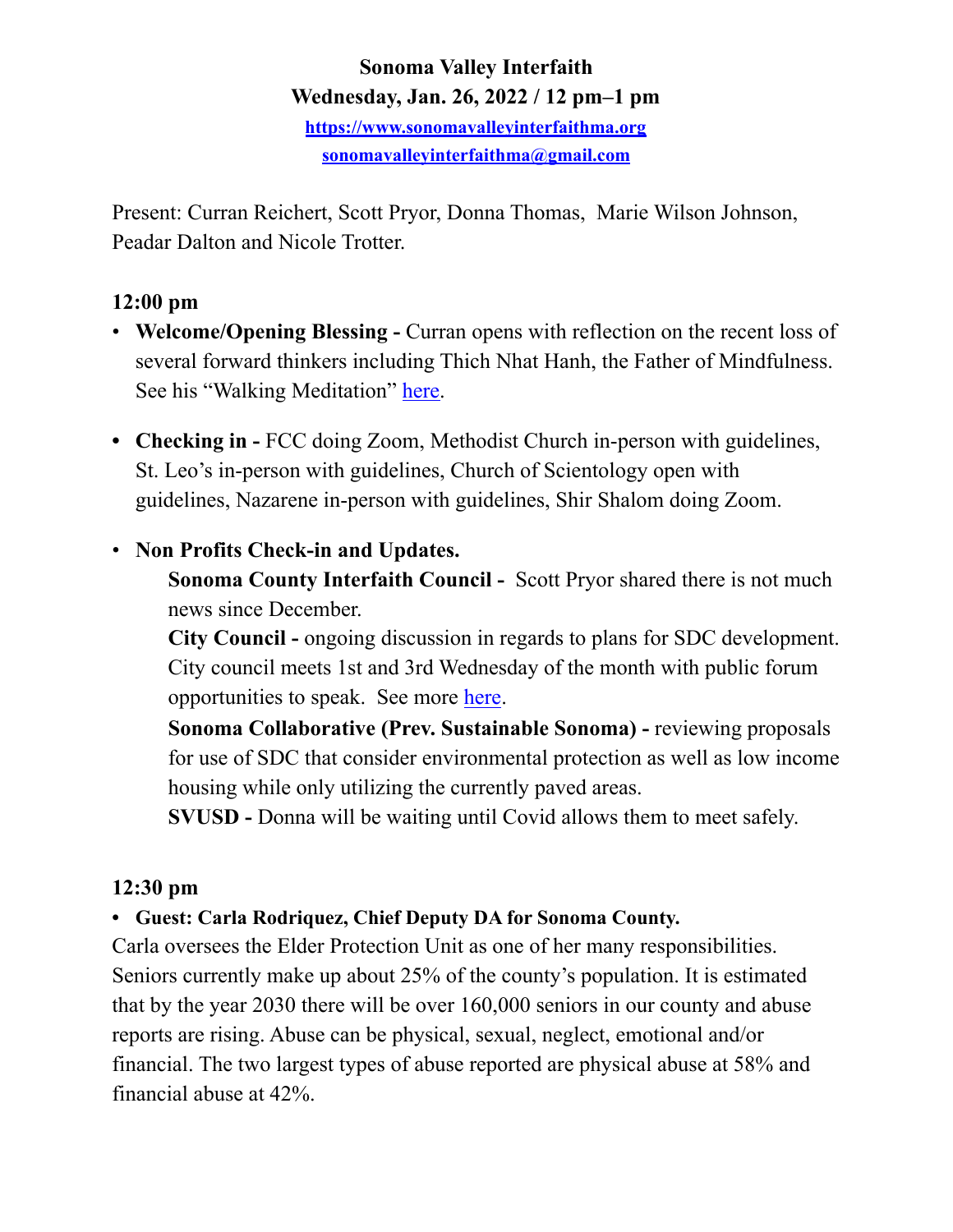# **Sonoma Valley Interfaith Wednesday, Jan. 26, 2022 / 12 pm–1 pm**

**<https://www.sonomavalleyinterfaithma.org> [sonomavalleyinterfaithma@gmail.com](mailto:sonomavalleyinterfaithma@gmail.com)**

Present: Curran Reichert, Scott Pryor, Donna Thomas, Marie Wilson Johnson, Peadar Dalton and Nicole Trotter.

### **12:00 pm**

- **Welcome/Opening Blessing Curran opens with reflection on the recent loss of** several forward thinkers including Thich Nhat Hanh, the Father of Mindfulness. See his "Walking Meditation" [here.](https://www.lionsroar.com/how-to-meditate-thich-nhat-hanh-on-walking-meditation/)
- **• Checking in** FCC doing Zoom, Methodist Church in-person with guidelines, St. Leo's in-person with guidelines, Church of Scientology open with guidelines, Nazarene in-person with guidelines, Shir Shalom doing Zoom.

## • **Non Profits Check-in and Updates.**

 **Sonoma County Interfaith Council -** Scott Pryor shared there is not much news since December.

**City Council -** ongoing discussion in regards to plans for SDC development. City council meets 1st and 3rd Wednesday of the month with public forum opportunities to speak. See more [here](https://www.sonomacity.org/sonoma-city-council-selects-jack-ding-as-mayor-kelso-barnett-as-vice-mayor/).

**Sonoma Collaborative (Prev. Sustainable Sonoma) - reviewing proposals**  for use of SDC that consider environmental protection as well as low income housing while only utilizing the currently paved areas.

**SVUSD -** Donna will be waiting until Covid allows them to meet safely.

#### **12:30 pm**

#### **• Guest: Carla Rodriquez, Chief Deputy DA for Sonoma County.**

Carla oversees the Elder Protection Unit as one of her many responsibilities. Seniors currently make up about 25% of the county's population. It is estimated that by the year 2030 there will be over 160,000 seniors in our county and abuse reports are rising. Abuse can be physical, sexual, neglect, emotional and/or financial. The two largest types of abuse reported are physical abuse at 58% and financial abuse at 42%.